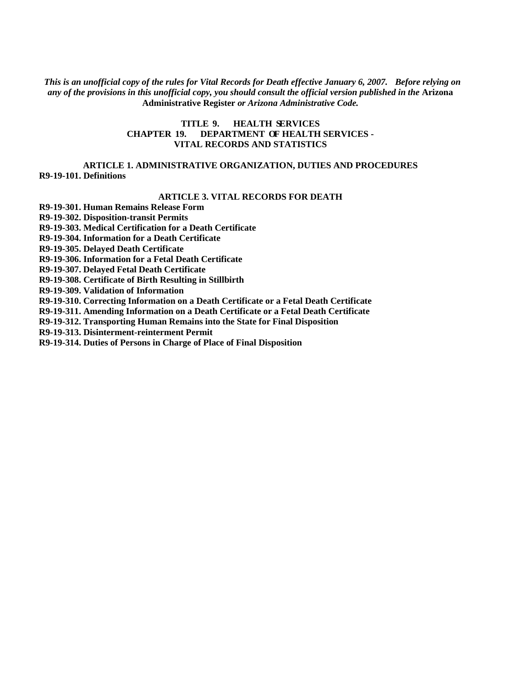*This is an unofficial copy of the rules for Vital Records for Death effective January 6, 2007. Before relying on any of the provisions in this unofficial copy, you should consult the official version published in the* **Arizona Administrative Register** *or Arizona Administrative Code.* 

## **TITLE 9. HEALTH SERVICES CHAPTER 19. DEPARTMENT OF HEALTH SERVICES - VITAL RECORDS AND STATISTICS**

## **ARTICLE 1. ADMINISTRATIVE ORGANIZATION, DUTIES AND PROCEDURES [R9-19-101. Definitions](#page-1-0)**

## **ARTICLE 3. VITAL RECORDS FOR DEATH**

**[R9-19-301. Human Remains Release Form](#page-1-0)** 

**[R9-19-302. Disposition-transit Permits](#page-2-0)** 

**[R9-19-303. Medical Certification for a Death Certificate](#page-4-0)** 

**[R9-19-304. Information for a Death Certificate](#page-5-0)** 

**[R9-19-305. Delayed Death Certificate](#page-7-0)** 

**[R9-19-306. Information for a Fetal Death Certificate](#page-7-0)** 

**[R9-19-307. Delayed Fetal Death Certificate](#page-10-0)** 

**[R9-19-308. Certificate of Birth Resulting in Stillbirth](#page-10-0)** 

**[R9-19-309. Validation of Information](#page-10-0)** 

**[R9-19-310. Correcting Information on a Death Certificate or a Fetal Death Certificate](#page-10-1)** 

**[R9-19-311. Amending Information on a Death Certificate or a Fetal Death Certificate](#page-11-0)** 

**[R9-19-312. Transporting Human Remains into the State for Final Disposition](#page-12-0)** 

**[R9-19-313. Disinterment-reinterment Permit](#page-12-0)** 

**[R9-19-314. Duties of Persons in Charge of Place of Final Disposition](#page-12-0)**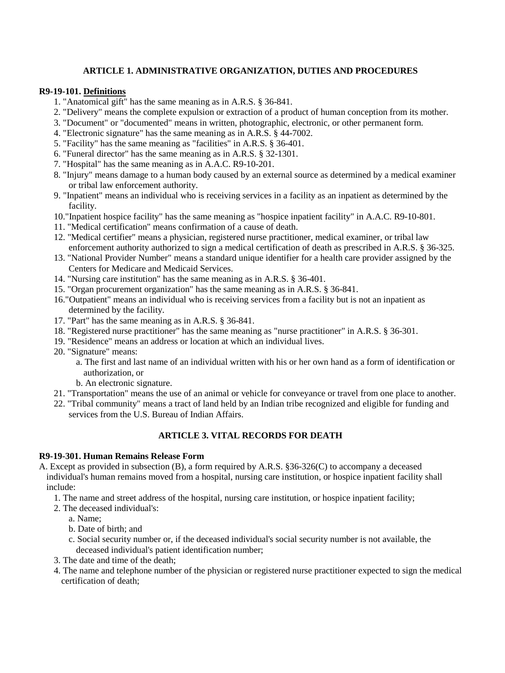## **ARTICLE 1. ADMINISTRATIVE ORGANIZATION, DUTIES AND PROCEDURES**

## <span id="page-1-0"></span>**R9-19-101. Definitions**

- 1. "Anatomical gift" has the same meaning as in A.R.S. § 36-841.
- 2. "Delivery" means the complete expulsion or extraction of a product of human conception from its mother.
- 3. "Document" or "documented" means in written, photographic, electronic, or other permanent form.
- 4. "Electronic signature" has the same meaning as in A.R.S. § 44-7002.
- 5. "Facility" has the same meaning as "facilities" in A.R.S. § 36-401.
- 6. "Funeral director" has the same meaning as in A.R.S. § 32-1301.
- 7. "Hospital" has the same meaning as in A.A.C. R9-10-201.
- 8. "Injury" means damage to a human body caused by an external source as determined by a medical examiner or tribal law enforcement authority.
- 9. "Inpatient" means an individual who is receiving services in a facility as an inpatient as determined by the facility.
- 10."Inpatient hospice facility" has the same meaning as "hospice inpatient facility" in A.A.C. R9-10-801.
- 11. "Medical certification" means confirmation of a cause of death.
- 12. "Medical certifier" means a physician, registered nurse practitioner, medical examiner, or tribal law enforcement authority authorized to sign a medical certification of death as prescribed in A.R.S. § 36-325.
- 13. "National Provider Number" means a standard unique identifier for a health care provider assigned by the Centers for Medicare and Medicaid Services.
- 14. "Nursing care institution" has the same meaning as in A.R.S. § 36-401.
- 15. "Organ procurement organization" has the same meaning as in A.R.S. § 36-841.
- 16."Outpatient" means an individual who is receiving services from a facility but is not an inpatient as determined by the facility.
- 17. "Part" has the same meaning as in A.R.S. § 36-841.
- 18. "Registered nurse practitioner" has the same meaning as "nurse practitioner" in A.R.S. § 36-301.
- 19. "Residence" means an address or location at which an individual lives.
- 20. "Signature" means:
	- a. The first and last name of an individual written with his or her own hand as a form of identification or authorization, or
	- b. An electronic signature.
- 21. "Transportation" means the use of an animal or vehicle for conveyance or travel from one place to another.
- 22. "Tribal community" means a tract of land held by an Indian tribe recognized and eligible for funding and services from the U.S. Bureau of Indian Affairs.

## **ARTICLE 3. VITAL RECORDS FOR DEATH**

#### **R9-19-301. Human Remains Release Form**

A. Except as provided in subsection (B), a form required by A.R.S. §36-326(C) to accompany a deceased individual's human remains moved from a hospital, nursing care institution, or hospice inpatient facility shall include:

- 1. The name and street address of the hospital, nursing care institution, or hospice inpatient facility;
- 2. The deceased individual's:
	- a. Name;
	- b. Date of birth; and
	- c. Social security number or, if the deceased individual's social security number is not available, the deceased individual's patient identification number;
- 3. The date and time of the death;
- 4. The name and telephone number of the physician or registered nurse practitioner expected to sign the medical certification of death;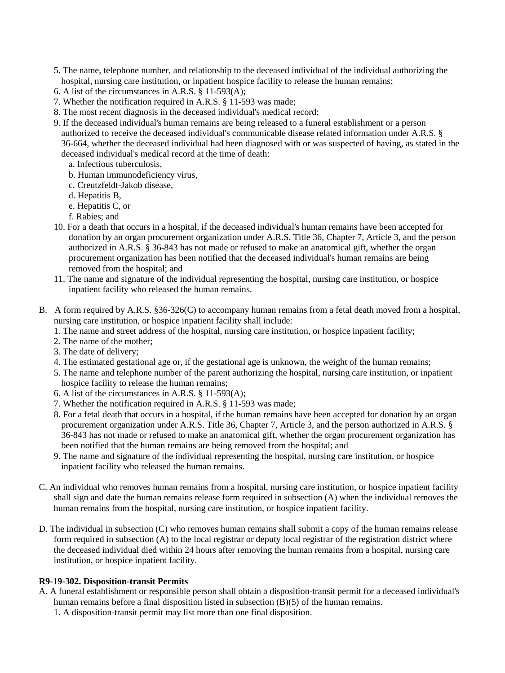- 5. The name, telephone number, and relationship to the deceased individual of the individual authorizing the hospital, nursing care institution, or inpatient hospice facility to release the human remains;
- 6. A list of the circumstances in A.R.S.  $\hat{\S}$  11-593(A);
- 7. Whether the notification required in A.R.S. § 11-593 was made;
- 8. The most recent diagnosis in the deceased individual's medical record;
- 9. If the deceased individual's human remains are being released to a funeral establishment or a person authorized to receive the deceased individual's communicable disease related information under A.R.S. § 36-664, whether the deceased individual had been diagnosed with or was suspected of having, as stated in the deceased individual's medical record at the time of death:
	- a. Infectious tuberculosis,
	- b. Human immunodeficiency virus,
	- c. Creutzfeldt-Jakob disease,
	- d. Hepatitis B,
	- e. Hepatitis C, or
	- f. Rabies; and
- 10. For a death that occurs in a hospital, if the deceased individual's human remains have been accepted for donation by an organ procurement organization under A.R.S. Title 36, Chapter 7, Article 3, and the person authorized in A.R.S. § 36-843 has not made or refused to make an anatomical gift, whether the organ procurement organization has been notified that the deceased individual's human remains are being removed from the hospital; and
- 11. The name and signature of the individual representing the hospital, nursing care institution, or hospice inpatient facility who released the human remains.
- B. A form required by A.R.S. §36-326(C) to accompany human remains from a fetal death moved from a hospital, nursing care institution, or hospice inpatient facility shall include:
	- 1. The name and street address of the hospital, nursing care institution, or hospice inpatient facility;
	- 2. The name of the mother;
	- 3. The date of delivery;
	- 4. The estimated gestational age or, if the gestational age is unknown, the weight of the human remains;
	- 5. The name and telephone number of the parent authorizing the hospital, nursing care institution, or inpatient hospice facility to release the human remains;
	- 6. A list of the circumstances in A.R.S. § 11-593(A);
	- 7. Whether the notification required in A.R.S. § 11-593 was made;
	- 8. For a fetal death that occurs in a hospital, if the human remains have been accepted for donation by an organ procurement organization under A.R.S. Title 36, Chapter 7, Article 3, and the person authorized in A.R.S. § 36-843 has not made or refused to make an anatomical gift, whether the organ procurement organization has been notified that the human remains are being removed from the hospital; and
	- 9. The name and signature of the individual representing the hospital, nursing care institution, or hospice inpatient facility who released the human remains.
- <span id="page-2-0"></span>C. An individual who removes human remains from a hospital, nursing care institution, or hospice inpatient facility shall sign and date the human remains release form required in subsection (A) when the individual removes the human remains from the hospital, nursing care institution, or hospice inpatient facility.
- D. The individual in subsection (C) who removes human remains shall submit a copy of the human remains release form required in subsection (A) to the local registrar or deputy local registrar of the registration district where the deceased individual died within 24 hours after removing the human remains from a hospital, nursing care institution, or hospice inpatient facility.

#### **R9-19-302. Disposition-transit Permits**

A. A funeral establishment or responsible person shall obtain a disposition-transit permit for a deceased individual's human remains before a final disposition listed in subsection (B)(5) of the human remains. 1. A disposition-transit permit may list more than one final disposition.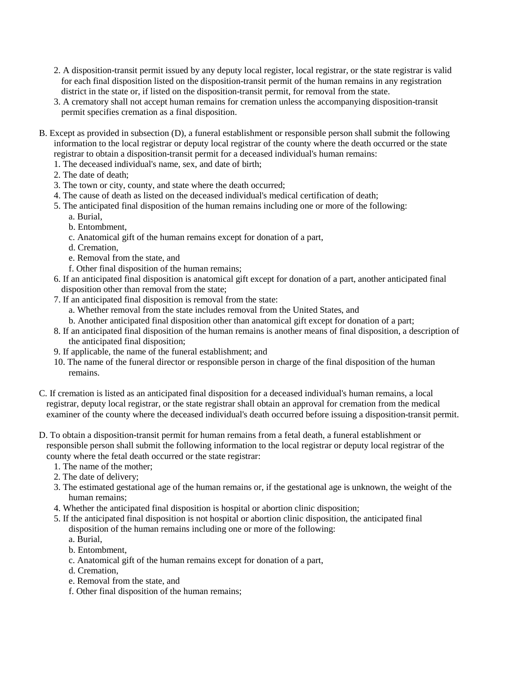- 2. A disposition-transit permit issued by any deputy local register, local registrar, or the state registrar is valid for each final disposition listed on the disposition-transit permit of the human remains in any registration district in the state or, if listed on the disposition-transit permit, for removal from the state.
- 3. A crematory shall not accept human remains for cremation unless the accompanying disposition-transit permit specifies cremation as a final disposition.
- B. Except as provided in subsection (D), a funeral establishment or responsible person shall submit the following information to the local registrar or deputy local registrar of the county where the death occurred or the state registrar to obtain a disposition-transit permit for a deceased individual's human remains:
	- 1. The deceased individual's name, sex, and date of birth;
	- 2. The date of death;
	- 3. The town or city, county, and state where the death occurred;
	- 4. The cause of death as listed on the deceased individual's medical certification of death;
	- 5. The anticipated final disposition of the human remains including one or more of the following:
		- a. Burial,
		- b. Entombment,
		- c. Anatomical gift of the human remains except for donation of a part,
		- d. Cremation,
		- e. Removal from the state, and
		- f. Other final disposition of the human remains;
	- 6. If an anticipated final disposition is anatomical gift except for donation of a part, another anticipated final disposition other than removal from the state;
	- 7. If an anticipated final disposition is removal from the state:
		- a. Whether removal from the state includes removal from the United States, and
		- b. Another anticipated final disposition other than anatomical gift except for donation of a part;
	- 8. If an anticipated final disposition of the human remains is another means of final disposition, a description of the anticipated final disposition;
	- 9. If applicable, the name of the funeral establishment; and
	- 10. The name of the funeral director or responsible person in charge of the final disposition of the human remains.
- C. If cremation is listed as an anticipated final disposition for a deceased individual's human remains, a local registrar, deputy local registrar, or the state registrar shall obtain an approval for cremation from the medical examiner of the county where the deceased individual's death occurred before issuing a disposition-transit permit.
- D. To obtain a disposition-transit permit for human remains from a fetal death, a funeral establishment or responsible person shall submit the following information to the local registrar or deputy local registrar of the county where the fetal death occurred or the state registrar:
	- 1. The name of the mother;
	- 2. The date of delivery;
	- 3. The estimated gestational age of the human remains or, if the gestational age is unknown, the weight of the human remains;
	- 4. Whether the anticipated final disposition is hospital or abortion clinic disposition;
	- 5. If the anticipated final disposition is not hospital or abortion clinic disposition, the anticipated final disposition of the human remains including one or more of the following:
		- a. Burial,
		- b. Entombment,
		- c. Anatomical gift of the human remains except for donation of a part,
		- d. Cremation,
		- e. Removal from the state, and
		- f. Other final disposition of the human remains;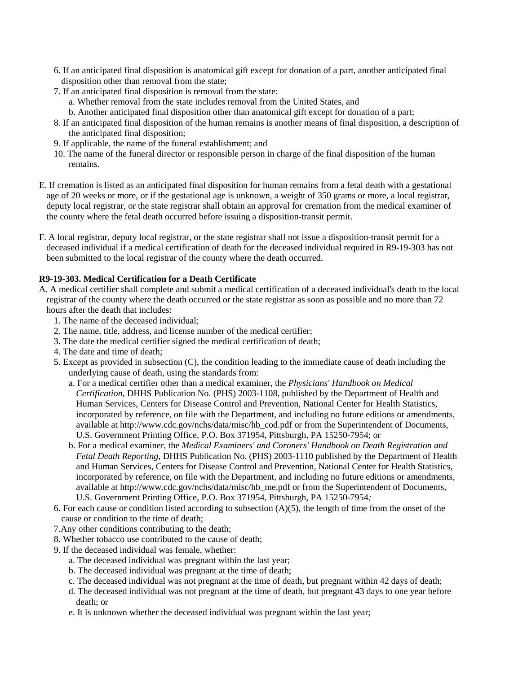- <span id="page-4-0"></span>6. If an anticipated final disposition is anatomical gift except for donation of a part, another anticipated final disposition other than removal from the state;
- 7. If an anticipated final disposition is removal from the state:
	- a. Whether removal from the state includes removal from the United States, and
	- b. Another anticipated final disposition other than anatomical gift except for donation of a part;
- 8. If an anticipated final disposition of the human remains is another means of final disposition, a description of the anticipated final disposition;
- 9. If applicable, the name of the funeral establishment; and
- 10. The name of the funeral director or responsible person in charge of the final disposition of the human remains.
- E. If cremation is listed as an anticipated final disposition for human remains from a fetal death with a gestational age of 20 weeks or more, or if the gestational age is unknown, a weight of 350 grams or more, a local registrar, deputy local registrar, or the state registrar shall obtain an approval for cremation from the medical examiner of the county where the fetal death occurred before issuing a disposition-transit permit.
- F. A local registrar, deputy local registrar, or the state registrar shall not issue a disposition-transit permit for a deceased individual if a medical certification of death for the deceased individual required in R9-19-303 has not been submitted to the local registrar of the county where the death occurred.

## **R9-19-303. Medical Certification for a Death Certificate**

- A. A medical certifier shall complete and submit a medical certification of a deceased individual's death to the local registrar of the county where the death occurred or the state registrar as soon as possible and no more than 72 hours after the death that includes:
	- 1. The name of the deceased individual;
	- 2. The name, title, address, and license number of the medical certifier;
	- 3. The date the medical certifier signed the medical certification of death;
	- 4. The date and time of death;
	- 5. Except as provided in subsection (C), the condition leading to the immediate cause of death including the underlying cause of death, using the standards from:
		- a. For a medical certifier other than a medical examiner, the *Physicians' Handbook on Medical Certification,* DHHS Publication No. (PHS) 2003-1108*,* published by the Department of Health and Human Services, Centers for Disease Control and Prevention, National Center for Health Statistics, incorporated by reference, on file with the Department, and including no future editions or amendments, available at http://www.cdc.gov/nchs/data/misc/hb\_cod.pdf or from the Superintendent of Documents, U.S. Government Printing Office, P.O. Box 371954, Pittsburgh, PA 15250-7954; or
		- b. For a medical examiner, the *Medical Examiners' and Coroners' Handbook on Death Registration and Fetal Death Reporting,* DHHS Publication No. (PHS) 2003-1110 published by the Department of Health and Human Services, Centers for Disease Control and Prevention, National Center for Health Statistics, incorporated by reference, on file with the Department, and including no future editions or amendments, available at http://www.cdc.gov/nchs/data/misc/hb\_me.pdf or from the Superintendent of Documents, U.S. Government Printing Office, P.O. Box 371954, Pittsburgh, PA 15250-7954*;*
	- 6. For each cause or condition listed according to subsection (A)(5), the length of time from the onset of the cause or condition to the time of death;
	- 7.Any other conditions contributing to the death;
	- 8. Whether tobacco use contributed to the cause of death;
	- 9. If the deceased individual was female, whether:
		- a. The deceased individual was pregnant within the last year;
		- b. The deceased individual was pregnant at the time of death;
		- c. The deceased individual was not pregnant at the time of death, but pregnant within 42 days of death;
		- d. The deceased individual was not pregnant at the time of death, but pregnant 43 days to one year before death; or
		- e. It is unknown whether the deceased individual was pregnant within the last year;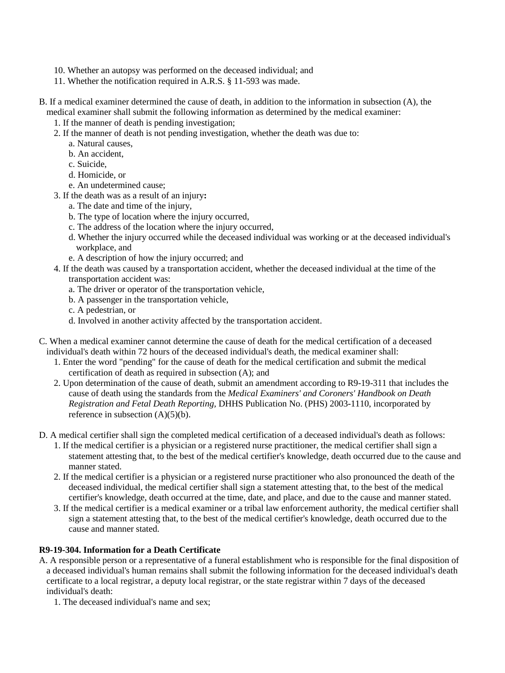- 10. Whether an autopsy was performed on the deceased individual; and
- 11. Whether the notification required in A.R.S. § 11-593 was made.
- B. If a medical examiner determined the cause of death, in addition to the information in subsection (A), the medical examiner shall submit the following information as determined by the medical examiner:
	- 1. If the manner of death is pending investigation;
	- 2. If the manner of death is not pending investigation, whether the death was due to:
		- a. Natural causes,
		- b. An accident,
		- c. Suicide,
		- d. Homicide, or
		- e. An undetermined cause;
	- 3. If the death was as a result of an injury**:** 
		- a. The date and time of the injury,
		- b. The type of location where the injury occurred,
		- c. The address of the location where the injury occurred,
		- d. Whether the injury occurred while the deceased individual was working or at the deceased individual's workplace, and
		- e. A description of how the injury occurred; and
	- 4. If the death was caused by a transportation accident, whether the deceased individual at the time of the transportation accident was:
		- a. The driver or operator of the transportation vehicle,
		- b. A passenger in the transportation vehicle,
		- c. A pedestrian, or
		- d. Involved in another activity affected by the transportation accident.
- C. When a medical examiner cannot determine the cause of death for the medical certification of a deceased individual's death within 72 hours of the deceased individual's death, the medical examiner shall:
	- 1. Enter the word "pending" for the cause of death for the medical certification and submit the medical certification of death as required in subsection (A); and
	- 2. Upon determination of the cause of death, submit an amendment according to R9-19-311 that includes the cause of death using the standards from the *Medical Examiners' and Coroners' Handbook on Death Registration and Fetal Death Reporting,* DHHS Publication No. (PHS) 2003-1110, incorporated by reference in subsection  $(A)(5)(b)$ .
- <span id="page-5-0"></span>D. A medical certifier shall sign the completed medical certification of a deceased individual's death as follows:
	- 1. If the medical certifier is a physician or a registered nurse practitioner, the medical certifier shall sign a statement attesting that, to the best of the medical certifier's knowledge, death occurred due to the cause and manner stated.
	- 2. If the medical certifier is a physician or a registered nurse practitioner who also pronounced the death of the deceased individual, the medical certifier shall sign a statement attesting that, to the best of the medical certifier's knowledge, death occurred at the time, date, and place, and due to the cause and manner stated.
	- 3. If the medical certifier is a medical examiner or a tribal law enforcement authority, the medical certifier shall sign a statement attesting that, to the best of the medical certifier's knowledge, death occurred due to the cause and manner stated.

## **R9-19-304. Information for a Death Certificate**

- A. A responsible person or a representative of a funeral establishment who is responsible for the final disposition of a deceased individual's human remains shall submit the following information for the deceased individual's death certificate to a local registrar, a deputy local registrar, or the state registrar within 7 days of the deceased individual's death:
	- 1. The deceased individual's name and sex;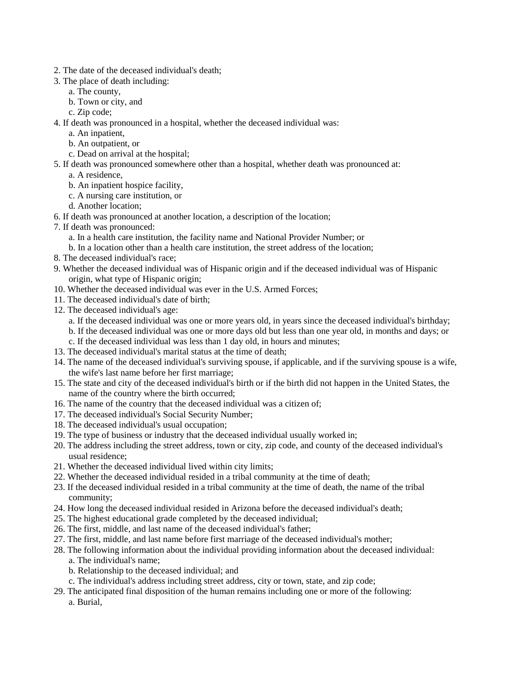- 2. The date of the deceased individual's death;
- 3. The place of death including:
	- a. The county,
	- b. Town or city, and
	- c. Zip code;
- 4. If death was pronounced in a hospital, whether the deceased individual was:
	- a. An inpatient,
	- b. An outpatient, or
	- c. Dead on arrival at the hospital;
- 5. If death was pronounced somewhere other than a hospital, whether death was pronounced at:
	- a. A residence,
	- b. An inpatient hospice facility,
	- c. A nursing care institution, or
	- d. Another location;
- 6. If death was pronounced at another location, a description of the location;
- 7. If death was pronounced:
	- a. In a health care institution, the facility name and National Provider Number; or
	- b. In a location other than a health care institution, the street address of the location;
- 8. The deceased individual's race;
- 9. Whether the deceased individual was of Hispanic origin and if the deceased individual was of Hispanic origin, what type of Hispanic origin;
- 10. Whether the deceased individual was ever in the U.S. Armed Forces;
- 11. The deceased individual's date of birth;
- 12. The deceased individual's age:
	- a. If the deceased individual was one or more years old, in years since the deceased individual's birthday;
	- b. If the deceased individual was one or more days old but less than one year old, in months and days; or
	- c. If the deceased individual was less than 1 day old, in hours and minutes;
- 13. The deceased individual's marital status at the time of death;
- 14. The name of the deceased individual's surviving spouse, if applicable, and if the surviving spouse is a wife, the wife's last name before her first marriage;
- 15. The state and city of the deceased individual's birth or if the birth did not happen in the United States, the name of the country where the birth occurred;
- 16. The name of the country that the deceased individual was a citizen of;
- 17. The deceased individual's Social Security Number;
- 18. The deceased individual's usual occupation;
- 19. The type of business or industry that the deceased individual usually worked in;
- 20. The address including the street address, town or city, zip code, and county of the deceased individual's usual residence;
- 21. Whether the deceased individual lived within city limits;
- 22. Whether the deceased individual resided in a tribal community at the time of death;
- 23. If the deceased individual resided in a tribal community at the time of death, the name of the tribal community;
- 24. How long the deceased individual resided in Arizona before the deceased individual's death;
- 25. The highest educational grade completed by the deceased individual;
- 26. The first, middle, and last name of the deceased individual's father;
- 27. The first, middle, and last name before first marriage of the deceased individual's mother;
- 28. The following information about the individual providing information about the deceased individual:
	- a. The individual's name;
	- b. Relationship to the deceased individual; and
	- c. The individual's address including street address, city or town, state, and zip code;
- 29. The anticipated final disposition of the human remains including one or more of the following: a. Burial,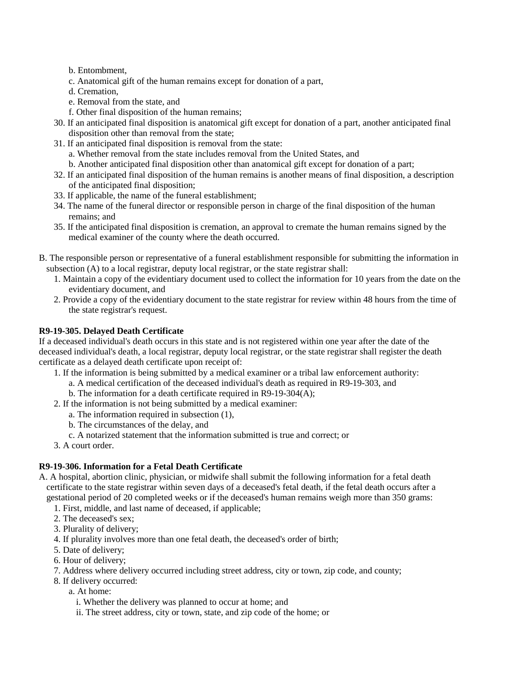- <span id="page-7-0"></span>b. Entombment,
- c. Anatomical gift of the human remains except for donation of a part,
- d. Cremation,
- e. Removal from the state, and
- f. Other final disposition of the human remains;
- 30. If an anticipated final disposition is anatomical gift except for donation of a part, another anticipated final disposition other than removal from the state;
- 31. If an anticipated final disposition is removal from the state:
	- a. Whether removal from the state includes removal from the United States, and
	- b. Another anticipated final disposition other than anatomical gift except for donation of a part;
- 32. If an anticipated final disposition of the human remains is another means of final disposition, a description of the anticipated final disposition;
- 33. If applicable, the name of the funeral establishment;
- 34. The name of the funeral director or responsible person in charge of the final disposition of the human remains; and
- 35. If the anticipated final disposition is cremation, an approval to cremate the human remains signed by the medical examiner of the county where the death occurred.
- B. The responsible person or representative of a funeral establishment responsible for submitting the information in subsection (A) to a local registrar, deputy local registrar, or the state registrar shall:
	- 1. Maintain a copy of the evidentiary document used to collect the information for 10 years from the date on the evidentiary document, and
	- 2. Provide a copy of the evidentiary document to the state registrar for review within 48 hours from the time of the state registrar's request.

# **R9-19-305. Delayed Death Certificate**

If a deceased individual's death occurs in this state and is not registered within one year after the date of the deceased individual's death, a local registrar, deputy local registrar, or the state registrar shall register the death certificate as a delayed death certificate upon receipt of:

- 1. If the information is being submitted by a medical examiner or a tribal law enforcement authority:
	- a. A medical certification of the deceased individual's death as required in R9-19-303, and
	- b. The information for a death certificate required in R9-19-304(A);
- 2. If the information is not being submitted by a medical examiner:
	- a. The information required in subsection (1),
	- b. The circumstances of the delay, and
	- c. A notarized statement that the information submitted is true and correct; or
- 3. A court order.

# **R9-19-306. Information for a Fetal Death Certificate**

- A. A hospital, abortion clinic, physician, or midwife shall submit the following information for a fetal death certificate to the state registrar within seven days of a deceased's fetal death, if the fetal death occurs after a gestational period of 20 completed weeks or if the deceased's human remains weigh more than 350 grams:
	- 1. First, middle, and last name of deceased, if applicable;
	- 2. The deceased's sex;
	- 3. Plurality of delivery;
	- 4. If plurality involves more than one fetal death, the deceased's order of birth;
	- 5. Date of delivery;
	- 6. Hour of delivery;
	- 7. Address where delivery occurred including street address, city or town, zip code, and county;
	- 8. If delivery occurred:
		- a. At home:
			- i. Whether the delivery was planned to occur at home; and
			- ii. The street address, city or town, state, and zip code of the home; or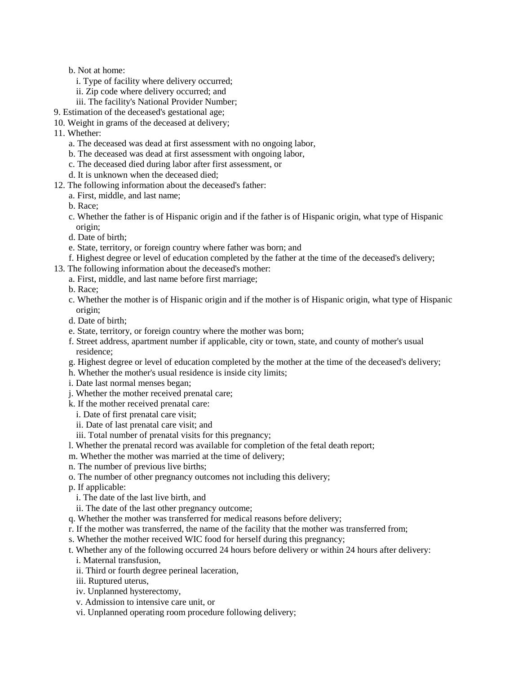- b. Not at home:
	- i. Type of facility where delivery occurred;
	- ii. Zip code where delivery occurred; and
	- iii. The facility's National Provider Number;
- 9. Estimation of the deceased's gestational age;
- 10. Weight in grams of the deceased at delivery;
- 11. Whether:
	- a. The deceased was dead at first assessment with no ongoing labor,
	- b. The deceased was dead at first assessment with ongoing labor,
	- c. The deceased died during labor after first assessment, or
	- d. It is unknown when the deceased died;
- 12. The following information about the deceased's father:
	- a. First, middle, and last name;
	- b. Race;
	- c. Whether the father is of Hispanic origin and if the father is of Hispanic origin, what type of Hispanic origin;
	- d. Date of birth;
	- e. State, territory, or foreign country where father was born; and
	- f. Highest degree or level of education completed by the father at the time of the deceased's delivery;
- 13. The following information about the deceased's mother:
	- a. First, middle, and last name before first marriage;
		- b. Race;
	- c. Whether the mother is of Hispanic origin and if the mother is of Hispanic origin, what type of Hispanic origin;
	- d. Date of birth;
	- e. State, territory, or foreign country where the mother was born;
	- f. Street address, apartment number if applicable, city or town, state, and county of mother's usual residence;
	- g. Highest degree or level of education completed by the mother at the time of the deceased's delivery;
	- h. Whether the mother's usual residence is inside city limits;
	- i. Date last normal menses began;
	- j. Whether the mother received prenatal care;
	- k. If the mother received prenatal care:
		- i. Date of first prenatal care visit;
		- ii. Date of last prenatal care visit; and
		- iii. Total number of prenatal visits for this pregnancy;
	- l. Whether the prenatal record was available for completion of the fetal death report;
	- m. Whether the mother was married at the time of delivery;
	- n. The number of previous live births;
	- o. The number of other pregnancy outcomes not including this delivery;
	- p. If applicable:
		- i. The date of the last live birth, and
	- ii. The date of the last other pregnancy outcome;
	- q. Whether the mother was transferred for medical reasons before delivery;
	- r. If the mother was transferred, the name of the facility that the mother was transferred from;
	- s. Whether the mother received WIC food for herself during this pregnancy;
	- t. Whether any of the following occurred 24 hours before delivery or within 24 hours after delivery: i. Maternal transfusion,
		- ii. Third or fourth degree perineal laceration,
		- iii. Ruptured uterus,
		- iv. Unplanned hysterectomy,
		- v. Admission to intensive care unit, or
		- vi. Unplanned operating room procedure following delivery;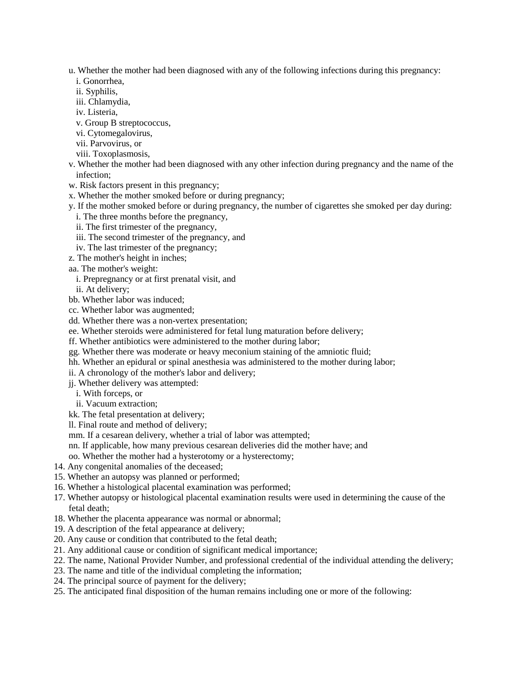- u. Whether the mother had been diagnosed with any of the following infections during this pregnancy:
	- i. Gonorrhea,
	- ii. Syphilis,
	- iii. Chlamydia, iv. Listeria,
	- v. Group B streptococcus,
	- vi. Cytomegalovirus,
	- vii. Parvovirus, or
	- viii. Toxoplasmosis,
- v. Whether the mother had been diagnosed with any other infection during pregnancy and the name of the infection;
- w. Risk factors present in this pregnancy;
- x. Whether the mother smoked before or during pregnancy;
- y. If the mother smoked before or during pregnancy, the number of cigarettes she smoked per day during:
	- i. The three months before the pregnancy,
	- ii. The first trimester of the pregnancy,
	- iii. The second trimester of the pregnancy, and
	- iv. The last trimester of the pregnancy;
- z. The mother's height in inches;
- aa. The mother's weight:
- i. Prepregnancy or at first prenatal visit, and
- ii. At delivery;
- bb. Whether labor was induced;
- cc. Whether labor was augmented;
- dd. Whether there was a non-vertex presentation;
- ee. Whether steroids were administered for fetal lung maturation before delivery;
- ff. Whether antibiotics were administered to the mother during labor;
- gg. Whether there was moderate or heavy meconium staining of the amniotic fluid;
- hh. Whether an epidural or spinal anesthesia was administered to the mother during labor;
- ii. A chronology of the mother's labor and delivery;
- jj. Whether delivery was attempted:
	- i. With forceps, or
	- ii. Vacuum extraction;
- kk. The fetal presentation at delivery;
- ll. Final route and method of delivery;
- mm. If a cesarean delivery, whether a trial of labor was attempted;
- nn. If applicable, how many previous cesarean deliveries did the mother have; and
- oo. Whether the mother had a hysterotomy or a hysterectomy;
- 14. Any congenital anomalies of the deceased;
- 15. Whether an autopsy was planned or performed;
- 16. Whether a histological placental examination was performed;
- 17. Whether autopsy or histological placental examination results were used in determining the cause of the fetal death;
- 18. Whether the placenta appearance was normal or abnormal;
- 19. A description of the fetal appearance at delivery;
- 20. Any cause or condition that contributed to the fetal death;
- 21. Any additional cause or condition of significant medical importance;
- 22. The name, National Provider Number, and professional credential of the individual attending the delivery;
- 23. The name and title of the individual completing the information;
- 24. The principal source of payment for the delivery;
- 25. The anticipated final disposition of the human remains including one or more of the following: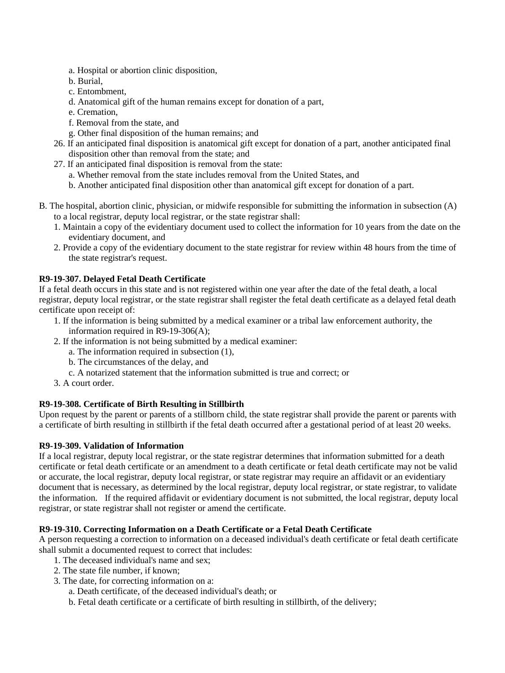- <span id="page-10-0"></span>a. Hospital or abortion clinic disposition,
- b. Burial,
- c. Entombment,
- d. Anatomical gift of the human remains except for donation of a part,
- e. Cremation,
- f. Removal from the state, and
- g. Other final disposition of the human remains; and
- 26. If an anticipated final disposition is anatomical gift except for donation of a part, another anticipated final disposition other than removal from the state; and
- 27. If an anticipated final disposition is removal from the state:
	- a. Whether removal from the state includes removal from the United States, and
	- b. Another anticipated final disposition other than anatomical gift except for donation of a part.
- B. The hospital, abortion clinic, physician, or midwife responsible for submitting the information in subsection (A) to a local registrar, deputy local registrar, or the state registrar shall:
	- 1. Maintain a copy of the evidentiary document used to collect the information for 10 years from the date on the evidentiary document, and
	- 2. Provide a copy of the evidentiary document to the state registrar for review within 48 hours from the time of the state registrar's request.

## **R9-19-307. Delayed Fetal Death Certificate**

If a fetal death occurs in this state and is not registered within one year after the date of the fetal death, a local registrar, deputy local registrar, or the state registrar shall register the fetal death certificate as a delayed fetal death certificate upon receipt of:

- 1. If the information is being submitted by a medical examiner or a tribal law enforcement authority, the information required in R9-19-306(A);
- 2. If the information is not being submitted by a medical examiner:
	- a. The information required in subsection (1),
	- b. The circumstances of the delay, and
	- c. A notarized statement that the information submitted is true and correct; or
- 3. A court order.

# <span id="page-10-1"></span>**R9-19-308. Certificate of Birth Resulting in Stillbirth**

Upon request by the parent or parents of a stillborn child, the state registrar shall provide the parent or parents with a certificate of birth resulting in stillbirth if the fetal death occurred after a gestational period of at least 20 weeks.

## **R9-19-309. Validation of Information**

If a local registrar, deputy local registrar, or the state registrar determines that information submitted for a death certificate or fetal death certificate or an amendment to a death certificate or fetal death certificate may not be valid or accurate, the local registrar, deputy local registrar, or state registrar may require an affidavit or an evidentiary document that is necessary, as determined by the local registrar, deputy local registrar, or state registrar, to validate the information. If the required affidavit or evidentiary document is not submitted, the local registrar, deputy local registrar, or state registrar shall not register or amend the certificate.

# **R9-19-310. Correcting Information on a Death Certificate or a Fetal Death Certificate**

A person requesting a correction to information on a deceased individual's death certificate or fetal death certificate shall submit a documented request to correct that includes:

- 1. The deceased individual's name and sex;
- 2. The state file number, if known;
- 3. The date, for correcting information on a:
	- a. Death certificate, of the deceased individual's death; or
	- b. Fetal death certificate or a certificate of birth resulting in stillbirth, of the delivery;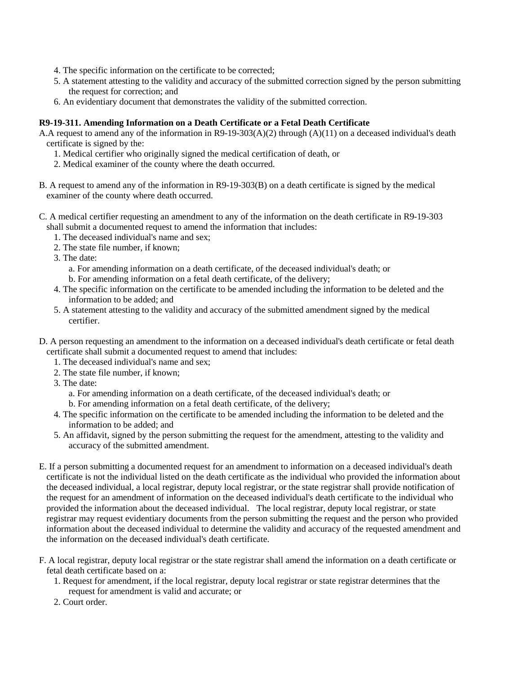- <span id="page-11-0"></span>4. The specific information on the certificate to be corrected;
- 5. A statement attesting to the validity and accuracy of the submitted correction signed by the person submitting the request for correction; and
- 6. An evidentiary document that demonstrates the validity of the submitted correction.

# **R9-19-311. Amending Information on a Death Certificate or a Fetal Death Certificate**

A.A request to amend any of the information in R9-19-303(A)(2) through (A)(11) on a deceased individual's death certificate is signed by the:

- 1. Medical certifier who originally signed the medical certification of death, or
- 2. Medical examiner of the county where the death occurred.
- B. A request to amend any of the information in R9-19-303(B) on a death certificate is signed by the medical examiner of the county where death occurred.
- C. A medical certifier requesting an amendment to any of the information on the death certificate in R9-19-303 shall submit a documented request to amend the information that includes:
	- 1. The deceased individual's name and sex;
	- 2. The state file number, if known;
	- 3. The date:
		- a. For amending information on a death certificate, of the deceased individual's death; or
		- b. For amending information on a fetal death certificate, of the delivery;
	- 4. The specific information on the certificate to be amended including the information to be deleted and the information to be added; and
	- 5. A statement attesting to the validity and accuracy of the submitted amendment signed by the medical certifier.
- D. A person requesting an amendment to the information on a deceased individual's death certificate or fetal death certificate shall submit a documented request to amend that includes:
	- 1. The deceased individual's name and sex;
	- 2. The state file number, if known;
	- 3. The date:
		- a. For amending information on a death certificate, of the deceased individual's death; or
		- b. For amending information on a fetal death certificate, of the delivery;
	- 4. The specific information on the certificate to be amended including the information to be deleted and the information to be added; and
	- 5. An affidavit, signed by the person submitting the request for the amendment, attesting to the validity and accuracy of the submitted amendment.
- E. If a person submitting a documented request for an amendment to information on a deceased individual's death certificate is not the individual listed on the death certificate as the individual who provided the information about the deceased individual, a local registrar, deputy local registrar, or the state registrar shall provide notification of the request for an amendment of information on the deceased individual's death certificate to the individual who provided the information about the deceased individual. The local registrar, deputy local registrar, or state registrar may request evidentiary documents from the person submitting the request and the person who provided information about the deceased individual to determine the validity and accuracy of the requested amendment and the information on the deceased individual's death certificate.
- F. A local registrar, deputy local registrar or the state registrar shall amend the information on a death certificate or fetal death certificate based on a:
	- 1. Request for amendment, if the local registrar, deputy local registrar or state registrar determines that the request for amendment is valid and accurate; or
	- 2. Court order.